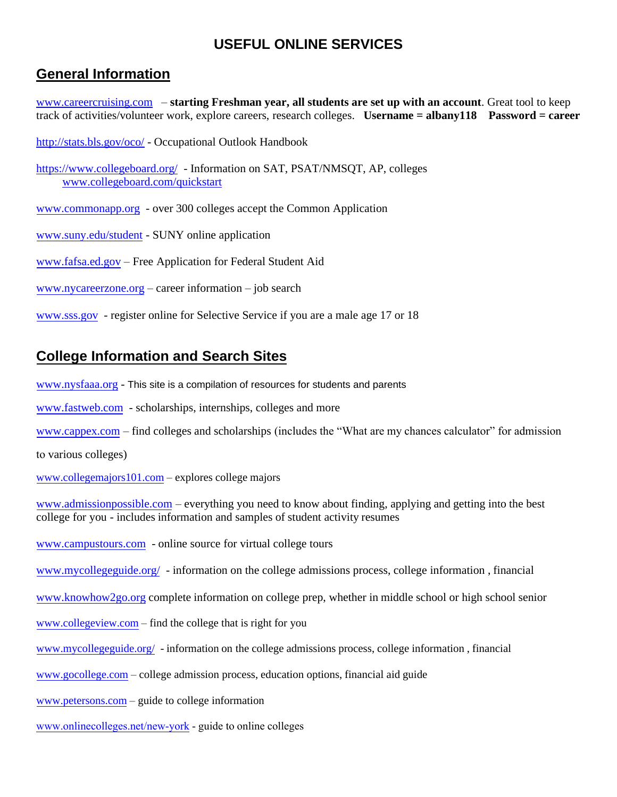## **USEFUL ONLINE SERVICES**

## **General Information**

[www.careercruising.com](http://www.careercruising.com/) – **starting Freshman year, all students are set up with an account**. Great tool to keep track of activities/volunteer work, explore careers, research colleges. **Username = albany118 Password = career**

<http://stats.bls.gov/oco/> - Occupational Outlook Handbook

<https://www.collegeboard.org/>- Information on SAT, PSAT/NMSQT, AP, colleges [www.collegeboard.com/quickstart](http://www.collegeboard.com/quickstart)

[www.commonapp.org](http://www.commonapp.org/) - over 300 colleges accept the Common Application

[www.suny.edu/student](http://www.suny.edu/student) - SUNY online application

[www.fafsa.ed.gov](http://www.fafsa.ed.gov/) – Free Application for Federal Student Aid

[www.nycareerzone.org](http://www.nycareerzone.org/) – career information – job search

[www.sss.gov](http://www.sss.gov/) - register online for Selective Service if you are a male age 17 or 18

## **College Information and Search Sites**

[www.nysfaaa.org](http://www.nysfaaa.org/) - This site is a compilation of resources for students and parents

[www.fastweb.com](http://www.fastweb.com/) - scholarships, internships, colleges and more

[www.cappex.com](http://www.cappex.com/) – find colleges and scholarships (includes the "What are my chances calculator" for admission

to various colleges)

[www.collegemajors101.com](http://www.collegemajors101.com/) – explores college majors

[www.admissionpossible.com](http://www.admissionpossible.com/) – everything you need to know about finding, applying and getting into the best college for you - includes information and samples of student activity resumes

[www.campustours.com](http://www.campustours.com/) - online source for virtual college tours

[www.mycollegeguide.org/](http://www.mycollegeguide.org/) - information on the college admissions process, college information , financial

[www.knowhow2go.org](http://www.knowhow2go.org/) complete information on college prep, whether in middle school or high school senior

[www.collegeview.com](http://www.collegeview.com/) – find the college that is right for you

[www.mycollegeguide.org/](http://www.mycollegeguide.org/) - information on the college admissions process, college information , financial

[www.gocollege.com](http://www.gocollege.com/) – college admission process, education options, financial aid guide

[www.petersons.com](http://www.petersons.com/) – guide to college information

[www.onlinecolleges.net/new-york](http://www.onlinecolleges.net/new-york) - guide to online colleges